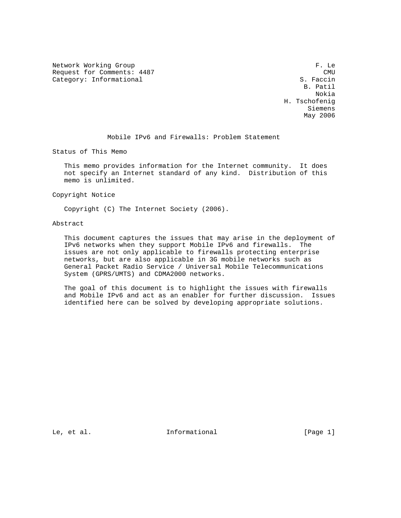Network Working Group and the set of the set of the set of the set of the set of the set of the set of the set of the set of the set of the set of the set of the set of the set of the set of the set of the set of the set o Request for Comments: 4487 CMU COMU CALC COMU CALC COMU CALC COMU CALC COMU CALC COMU CALC COMU CALC COMU CALC COMU<br>Category: Informational CALC COMUS CALC COMUS CALC COMUS CALC COMUS CALC COMUS CALC COMUS COMUS COMUS COMU Category: Informational

 B. Patil Nokia H. Tschofenig Siemens May 2006 and the May 2006 state of the May 2006 state of the May 2006 state of the May 2006 state of the May 2006 state of the May 2006 state of the May 2006 state of the May 2006 state of the May 2006 state of the May 200

## Mobile IPv6 and Firewalls: Problem Statement

Status of This Memo

 This memo provides information for the Internet community. It does not specify an Internet standard of any kind. Distribution of this memo is unlimited.

Copyright Notice

Copyright (C) The Internet Society (2006).

Abstract

 This document captures the issues that may arise in the deployment of IPv6 networks when they support Mobile IPv6 and firewalls. The issues are not only applicable to firewalls protecting enterprise networks, but are also applicable in 3G mobile networks such as General Packet Radio Service / Universal Mobile Telecommunications System (GPRS/UMTS) and CDMA2000 networks.

 The goal of this document is to highlight the issues with firewalls and Mobile IPv6 and act as an enabler for further discussion. Issues identified here can be solved by developing appropriate solutions.

Le, et al.  $\qquad \qquad$  Informational  $[Page 1]$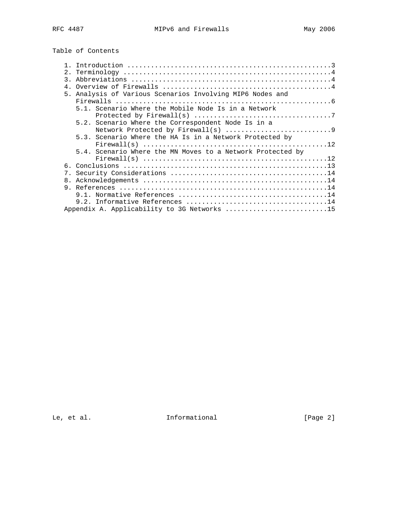Table of Contents

| $\overline{3}$ . |                                                            |
|------------------|------------------------------------------------------------|
| 4 <sup>1</sup>   |                                                            |
|                  | 5. Analysis of Various Scenarios Involving MIP6 Nodes and  |
|                  |                                                            |
|                  | 5.1. Scenario Where the Mobile Node Is in a Network        |
|                  |                                                            |
|                  | 5.2. Scenario Where the Correspondent Node Is in a         |
|                  |                                                            |
|                  | 5.3. Scenario Where the HA Is in a Network Protected by    |
|                  |                                                            |
|                  | 5.4. Scenario Where the MN Moves to a Network Protected by |
|                  |                                                            |
|                  |                                                            |
|                  |                                                            |
| 8.               |                                                            |
|                  |                                                            |
|                  |                                                            |
|                  |                                                            |
|                  | Appendix A. Applicability to 3G Networks 15                |

Le, et al. 1nformational [Page 2]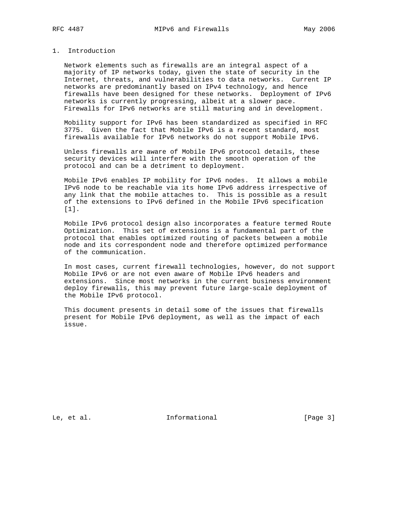## 1. Introduction

 Network elements such as firewalls are an integral aspect of a majority of IP networks today, given the state of security in the Internet, threats, and vulnerabilities to data networks. Current IP networks are predominantly based on IPv4 technology, and hence firewalls have been designed for these networks. Deployment of IPv6 networks is currently progressing, albeit at a slower pace. Firewalls for IPv6 networks are still maturing and in development.

 Mobility support for IPv6 has been standardized as specified in RFC 3775. Given the fact that Mobile IPv6 is a recent standard, most firewalls available for IPv6 networks do not support Mobile IPv6.

 Unless firewalls are aware of Mobile IPv6 protocol details, these security devices will interfere with the smooth operation of the protocol and can be a detriment to deployment.

 Mobile IPv6 enables IP mobility for IPv6 nodes. It allows a mobile IPv6 node to be reachable via its home IPv6 address irrespective of any link that the mobile attaches to. This is possible as a result of the extensions to IPv6 defined in the Mobile IPv6 specification [1].

 Mobile IPv6 protocol design also incorporates a feature termed Route Optimization. This set of extensions is a fundamental part of the protocol that enables optimized routing of packets between a mobile node and its correspondent node and therefore optimized performance of the communication.

 In most cases, current firewall technologies, however, do not support Mobile IPv6 or are not even aware of Mobile IPv6 headers and extensions. Since most networks in the current business environment deploy firewalls, this may prevent future large-scale deployment of the Mobile IPv6 protocol.

 This document presents in detail some of the issues that firewalls present for Mobile IPv6 deployment, as well as the impact of each issue.

Le, et al. **Informational** [Page 3]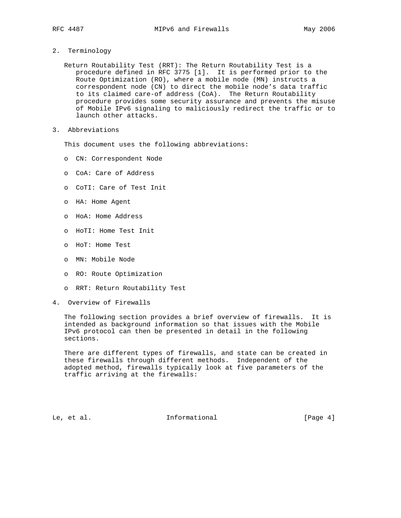## 2. Terminology

 Return Routability Test (RRT): The Return Routability Test is a procedure defined in RFC 3775 [1]. It is performed prior to the Route Optimization (RO), where a mobile node (MN) instructs a correspondent node (CN) to direct the mobile node's data traffic to its claimed care-of address (CoA). The Return Routability procedure provides some security assurance and prevents the misuse of Mobile IPv6 signaling to maliciously redirect the traffic or to launch other attacks.

3. Abbreviations

This document uses the following abbreviations:

- o CN: Correspondent Node
- o CoA: Care of Address
- o CoTI: Care of Test Init
- o HA: Home Agent
- o HoA: Home Address
- o HoTI: Home Test Init
- o HoT: Home Test
- o MN: Mobile Node
- o RO: Route Optimization
- o RRT: Return Routability Test
- 4. Overview of Firewalls

 The following section provides a brief overview of firewalls. It is intended as background information so that issues with the Mobile IPv6 protocol can then be presented in detail in the following sections.

 There are different types of firewalls, and state can be created in these firewalls through different methods. Independent of the adopted method, firewalls typically look at five parameters of the traffic arriving at the firewalls:

Le, et al. 10. Informational 1. [Page 4]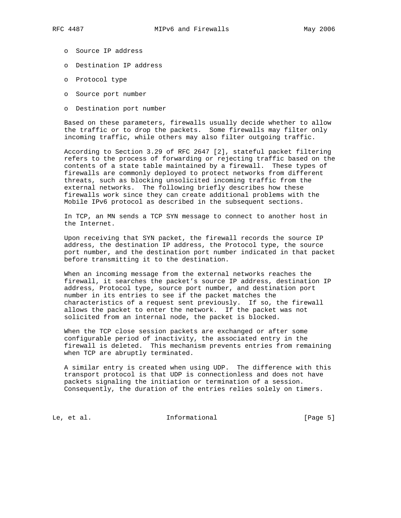- - o Source IP address
	- o Destination IP address
	- o Protocol type
	- o Source port number
	- o Destination port number

 Based on these parameters, firewalls usually decide whether to allow the traffic or to drop the packets. Some firewalls may filter only incoming traffic, while others may also filter outgoing traffic.

 According to Section 3.29 of RFC 2647 [2], stateful packet filtering refers to the process of forwarding or rejecting traffic based on the contents of a state table maintained by a firewall. These types of firewalls are commonly deployed to protect networks from different threats, such as blocking unsolicited incoming traffic from the external networks. The following briefly describes how these firewalls work since they can create additional problems with the Mobile IPv6 protocol as described in the subsequent sections.

 In TCP, an MN sends a TCP SYN message to connect to another host in the Internet.

 Upon receiving that SYN packet, the firewall records the source IP address, the destination IP address, the Protocol type, the source port number, and the destination port number indicated in that packet before transmitting it to the destination.

 When an incoming message from the external networks reaches the firewall, it searches the packet's source IP address, destination IP address, Protocol type, source port number, and destination port number in its entries to see if the packet matches the characteristics of a request sent previously. If so, the firewall allows the packet to enter the network. If the packet was not solicited from an internal node, the packet is blocked.

 When the TCP close session packets are exchanged or after some configurable period of inactivity, the associated entry in the firewall is deleted. This mechanism prevents entries from remaining when TCP are abruptly terminated.

 A similar entry is created when using UDP. The difference with this transport protocol is that UDP is connectionless and does not have packets signaling the initiation or termination of a session. Consequently, the duration of the entries relies solely on timers.

Le, et al. 10. Informational 1. [Page 5]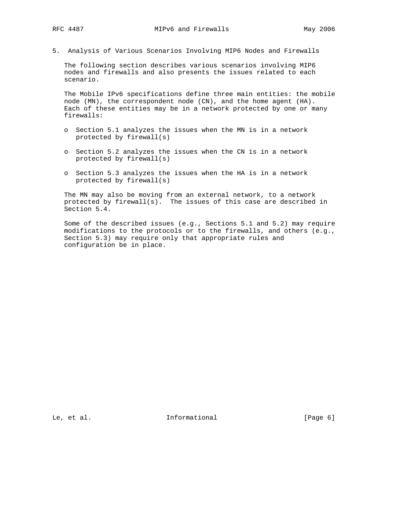5. Analysis of Various Scenarios Involving MIP6 Nodes and Firewalls

 The following section describes various scenarios involving MIP6 nodes and firewalls and also presents the issues related to each scenario.

 The Mobile IPv6 specifications define three main entities: the mobile node (MN), the correspondent node (CN), and the home agent (HA). Each of these entities may be in a network protected by one or many firewalls:

- o Section 5.1 analyzes the issues when the MN is in a network protected by firewall(s)
- o Section 5.2 analyzes the issues when the CN is in a network protected by firewall(s)
- o Section 5.3 analyzes the issues when the HA is in a network protected by firewall(s)

 The MN may also be moving from an external network, to a network protected by firewall(s). The issues of this case are described in Section 5.4.

 Some of the described issues (e.g., Sections 5.1 and 5.2) may require modifications to the protocols or to the firewalls, and others (e.g., Section 5.3) may require only that appropriate rules and configuration be in place.

Le, et al. 10. Informational 1. [Page 6]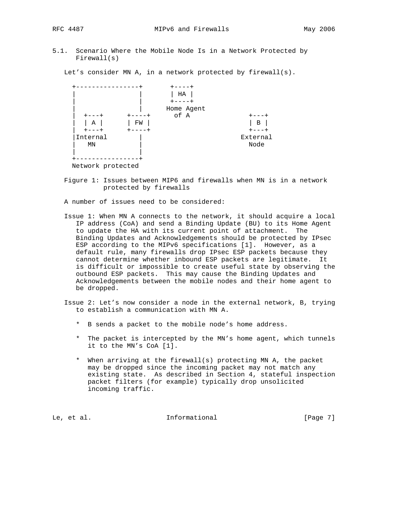- 
- 5.1. Scenario Where the Mobile Node Is in a Network Protected by Firewall(s)

Let's consider MN A, in a network protected by firewall(s).



 Figure 1: Issues between MIP6 and firewalls when MN is in a network protected by firewalls

A number of issues need to be considered:

- Issue 1: When MN A connects to the network, it should acquire a local IP address (CoA) and send a Binding Update (BU) to its Home Agent to update the HA with its current point of attachment. The Binding Updates and Acknowledgements should be protected by IPsec ESP according to the MIPv6 specifications [1]. However, as a default rule, many firewalls drop IPsec ESP packets because they cannot determine whether inbound ESP packets are legitimate. It is difficult or impossible to create useful state by observing the outbound ESP packets. This may cause the Binding Updates and Acknowledgements between the mobile nodes and their home agent to be dropped.
- Issue 2: Let's now consider a node in the external network, B, trying to establish a communication with MN A.
	- \* B sends a packet to the mobile node's home address.
	- \* The packet is intercepted by the MN's home agent, which tunnels it to the MN's CoA [1].
	- \* When arriving at the firewall(s) protecting MN A, the packet may be dropped since the incoming packet may not match any existing state. As described in Section 4, stateful inspection packet filters (for example) typically drop unsolicited incoming traffic.

Le, et al. 10. Informational 1. [Page 7]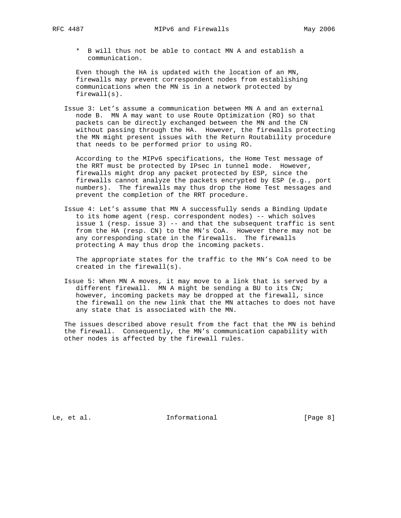\* B will thus not be able to contact MN A and establish a communication.

 Even though the HA is updated with the location of an MN, firewalls may prevent correspondent nodes from establishing communications when the MN is in a network protected by firewall(s).

 Issue 3: Let's assume a communication between MN A and an external node B. MN A may want to use Route Optimization (RO) so that packets can be directly exchanged between the MN and the CN without passing through the HA. However, the firewalls protecting the MN might present issues with the Return Routability procedure that needs to be performed prior to using RO.

 According to the MIPv6 specifications, the Home Test message of the RRT must be protected by IPsec in tunnel mode. However, firewalls might drop any packet protected by ESP, since the firewalls cannot analyze the packets encrypted by ESP (e.g., port numbers). The firewalls may thus drop the Home Test messages and prevent the completion of the RRT procedure.

 Issue 4: Let's assume that MN A successfully sends a Binding Update to its home agent (resp. correspondent nodes) -- which solves issue 1 (resp. issue 3) -- and that the subsequent traffic is sent from the HA (resp. CN) to the MN's CoA. However there may not be any corresponding state in the firewalls. The firewalls protecting A may thus drop the incoming packets.

 The appropriate states for the traffic to the MN's CoA need to be created in the firewall(s).

 Issue 5: When MN A moves, it may move to a link that is served by a different firewall. MN A might be sending a BU to its CN; however, incoming packets may be dropped at the firewall, since the firewall on the new link that the MN attaches to does not have any state that is associated with the MN.

 The issues described above result from the fact that the MN is behind the firewall. Consequently, the MN's communication capability with other nodes is affected by the firewall rules.

Le, et al. 10. Informational 1. [Page 8]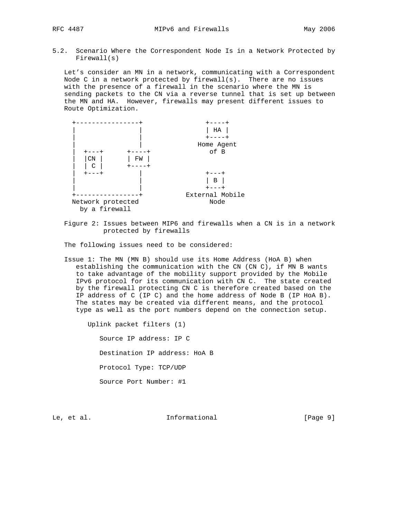- 
- 5.2. Scenario Where the Correspondent Node Is in a Network Protected by Firewall(s)

 Let's consider an MN in a network, communicating with a Correspondent Node C in a network protected by firewall(s). There are no issues with the presence of a firewall in the scenario where the MN is sending packets to the CN via a reverse tunnel that is set up between the MN and HA. However, firewalls may present different issues to Route Optimization.



 Figure 2: Issues between MIP6 and firewalls when a CN is in a network protected by firewalls

The following issues need to be considered:

 Issue 1: The MN (MN B) should use its Home Address (HoA B) when establishing the communication with the CN (CN C), if MN B wants to take advantage of the mobility support provided by the Mobile IPv6 protocol for its communication with CN C. The state created by the firewall protecting CN C is therefore created based on the IP address of C (IP C) and the home address of Node B (IP HoA B). The states may be created via different means, and the protocol type as well as the port numbers depend on the connection setup.

Uplink packet filters (1)

Source IP address: IP C

Destination IP address: HoA B

Protocol Type: TCP/UDP

Source Port Number: #1

Le, et al. 10. Informational 1. [Page 9]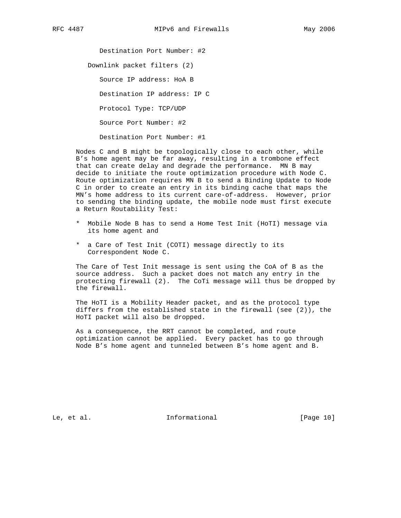Destination Port Number: #2 Downlink packet filters (2) Source IP address: HoA B Destination IP address: IP C Protocol Type: TCP/UDP

Source Port Number: #2

Destination Port Number: #1

 Nodes C and B might be topologically close to each other, while B's home agent may be far away, resulting in a trombone effect that can create delay and degrade the performance. MN B may decide to initiate the route optimization procedure with Node C. Route optimization requires MN B to send a Binding Update to Node C in order to create an entry in its binding cache that maps the MN's home address to its current care-of-address. However, prior to sending the binding update, the mobile node must first execute a Return Routability Test:

- \* Mobile Node B has to send a Home Test Init (HoTI) message via its home agent and
- \* a Care of Test Init (COTI) message directly to its Correspondent Node C.

 The Care of Test Init message is sent using the CoA of B as the source address. Such a packet does not match any entry in the protecting firewall (2). The CoTi message will thus be dropped by the firewall.

 The HoTI is a Mobility Header packet, and as the protocol type differs from the established state in the firewall (see (2)), the HoTI packet will also be dropped.

 As a consequence, the RRT cannot be completed, and route optimization cannot be applied. Every packet has to go through Node B's home agent and tunneled between B's home agent and B.

Le, et al. [Page 10]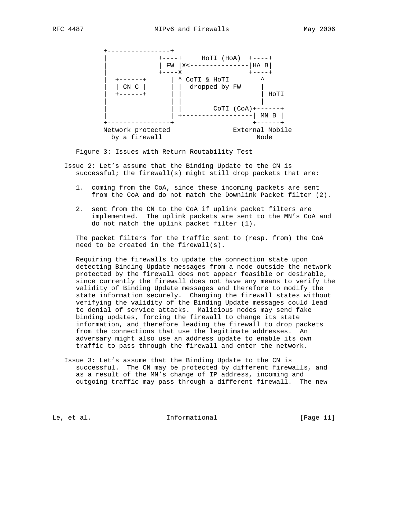

Figure 3: Issues with Return Routability Test

 Issue 2: Let's assume that the Binding Update to the CN is successful; the firewall(s) might still drop packets that are:

- 1. coming from the CoA, since these incoming packets are sent from the CoA and do not match the Downlink Packet filter (2).
- 2. sent from the CN to the CoA if uplink packet filters are implemented. The uplink packets are sent to the MN's CoA and do not match the uplink packet filter (1).

 The packet filters for the traffic sent to (resp. from) the CoA need to be created in the firewall(s).

 Requiring the firewalls to update the connection state upon detecting Binding Update messages from a node outside the network protected by the firewall does not appear feasible or desirable, since currently the firewall does not have any means to verify the validity of Binding Update messages and therefore to modify the state information securely. Changing the firewall states without verifying the validity of the Binding Update messages could lead to denial of service attacks. Malicious nodes may send fake binding updates, forcing the firewall to change its state information, and therefore leading the firewall to drop packets from the connections that use the legitimate addresses. An adversary might also use an address update to enable its own traffic to pass through the firewall and enter the network.

 Issue 3: Let's assume that the Binding Update to the CN is successful. The CN may be protected by different firewalls, and as a result of the MN's change of IP address, incoming and outgoing traffic may pass through a different firewall. The new

Le, et al. [Page 11]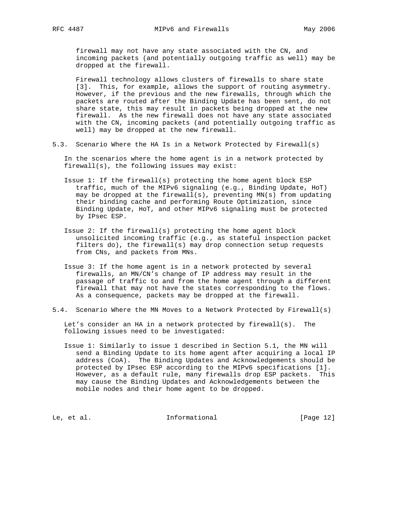firewall may not have any state associated with the CN, and incoming packets (and potentially outgoing traffic as well) may be dropped at the firewall.

 Firewall technology allows clusters of firewalls to share state [3]. This, for example, allows the support of routing asymmetry. However, if the previous and the new firewalls, through which the packets are routed after the Binding Update has been sent, do not share state, this may result in packets being dropped at the new firewall. As the new firewall does not have any state associated with the CN, incoming packets (and potentially outgoing traffic as well) may be dropped at the new firewall.

5.3. Scenario Where the HA Is in a Network Protected by Firewall(s)

 In the scenarios where the home agent is in a network protected by firewall(s), the following issues may exist:

- Issue 1: If the firewall(s) protecting the home agent block ESP traffic, much of the MIPv6 signaling (e.g., Binding Update, HoT) may be dropped at the firewall(s), preventing MN(s) from updating their binding cache and performing Route Optimization, since Binding Update, HoT, and other MIPv6 signaling must be protected by IPsec ESP.
- Issue 2: If the firewall(s) protecting the home agent block unsolicited incoming traffic (e.g., as stateful inspection packet filters do), the firewall(s) may drop connection setup requests from CNs, and packets from MNs.
- Issue 3: If the home agent is in a network protected by several firewalls, an MN/CN's change of IP address may result in the passage of traffic to and from the home agent through a different firewall that may not have the states corresponding to the flows. As a consequence, packets may be dropped at the firewall.
- 5.4. Scenario Where the MN Moves to a Network Protected by Firewall(s)

 Let's consider an HA in a network protected by firewall(s). The following issues need to be investigated:

 Issue 1: Similarly to issue 1 described in Section 5.1, the MN will send a Binding Update to its home agent after acquiring a local IP address (CoA). The Binding Updates and Acknowledgements should be protected by IPsec ESP according to the MIPv6 specifications [1]. However, as a default rule, many firewalls drop ESP packets. This may cause the Binding Updates and Acknowledgements between the mobile nodes and their home agent to be dropped.

Le, et al. 10. Informational [Page 12]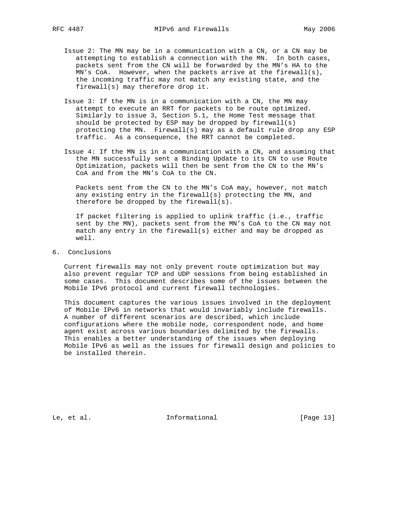- Issue 2: The MN may be in a communication with a CN, or a CN may be attempting to establish a connection with the MN. In both cases, packets sent from the CN will be forwarded by the MN's HA to the MN's CoA. However, when the packets arrive at the firewall(s), the incoming traffic may not match any existing state, and the firewall(s) may therefore drop it.
- Issue 3: If the MN is in a communication with a CN, the MN may attempt to execute an RRT for packets to be route optimized. Similarly to issue 3, Section 5.1, the Home Test message that should be protected by ESP may be dropped by firewall(s) protecting the MN. Firewall(s) may as a default rule drop any ESP traffic. As a consequence, the RRT cannot be completed.
- Issue 4: If the MN is in a communication with a CN, and assuming that the MN successfully sent a Binding Update to its CN to use Route Optimization, packets will then be sent from the CN to the MN's CoA and from the MN's CoA to the CN.

 Packets sent from the CN to the MN's CoA may, however, not match any existing entry in the firewall(s) protecting the MN, and therefore be dropped by the firewall(s).

 If packet filtering is applied to uplink traffic (i.e., traffic sent by the MN), packets sent from the MN's CoA to the CN may not match any entry in the firewall(s) either and may be dropped as well.

6. Conclusions

 Current firewalls may not only prevent route optimization but may also prevent regular TCP and UDP sessions from being established in some cases. This document describes some of the issues between the Mobile IPv6 protocol and current firewall technologies.

 This document captures the various issues involved in the deployment of Mobile IPv6 in networks that would invariably include firewalls. A number of different scenarios are described, which include configurations where the mobile node, correspondent node, and home agent exist across various boundaries delimited by the firewalls. This enables a better understanding of the issues when deploying Mobile IPv6 as well as the issues for firewall design and policies to be installed therein.

Le, et al. 10. Informational [Page 13]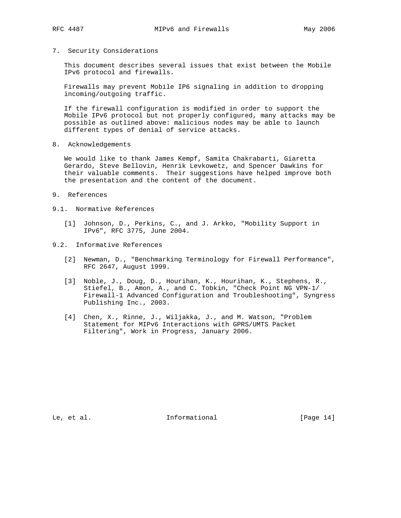7. Security Considerations

 This document describes several issues that exist between the Mobile IPv6 protocol and firewalls.

 Firewalls may prevent Mobile IP6 signaling in addition to dropping incoming/outgoing traffic.

 If the firewall configuration is modified in order to support the Mobile IPv6 protocol but not properly configured, many attacks may be possible as outlined above: malicious nodes may be able to launch different types of denial of service attacks.

8. Acknowledgements

 We would like to thank James Kempf, Samita Chakrabarti, Giaretta Gerardo, Steve Bellovin, Henrik Levkowetz, and Spencer Dawkins for their valuable comments. Their suggestions have helped improve both the presentation and the content of the document.

- 9. References
- 9.1. Normative References
	- [1] Johnson, D., Perkins, C., and J. Arkko, "Mobility Support in IPv6", RFC 3775, June 2004.
- 9.2. Informative References
	- [2] Newman, D., "Benchmarking Terminology for Firewall Performance", RFC 2647, August 1999.
	- [3] Noble, J., Doug, D., Hourihan, K., Hourihan, K., Stephens, R., Stiefel, B., Amon, A., and C. Tobkin, "Check Point NG VPN-1/ Firewall-1 Advanced Configuration and Troubleshooting", Syngress Publishing Inc., 2003.
	- [4] Chen, X., Rinne, J., Wiljakka, J., and M. Watson, "Problem Statement for MIPv6 Interactions with GPRS/UMTS Packet Filtering", Work in Progress, January 2006.

Le, et al. 10. Informational 1. [Page 14]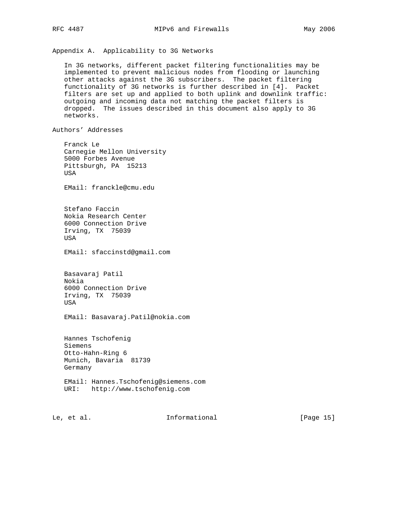Appendix A. Applicability to 3G Networks

 In 3G networks, different packet filtering functionalities may be implemented to prevent malicious nodes from flooding or launching other attacks against the 3G subscribers. The packet filtering functionality of 3G networks is further described in [4]. Packet filters are set up and applied to both uplink and downlink traffic: outgoing and incoming data not matching the packet filters is dropped. The issues described in this document also apply to 3G networks.

Authors' Addresses

 Franck Le Carnegie Mellon University 5000 Forbes Avenue Pittsburgh, PA 15213 USA EMail: franckle@cmu.edu Stefano Faccin Nokia Research Center 6000 Connection Drive Irving, TX 75039 USA EMail: sfaccinstd@gmail.com Basavaraj Patil Nokia 6000 Connection Drive Irving, TX 75039 USA EMail: Basavaraj.Patil@nokia.com Hannes Tschofenig Siemens Otto-Hahn-Ring 6 Munich, Bavaria 81739 Germany EMail: Hannes.Tschofenig@siemens.com URI: http://www.tschofenig.com

Le, et al. 1nformational [Page 15]